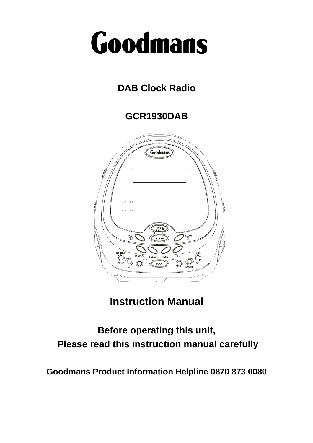# Goodmans

# **DAB Clock Radio**

**GCR1930DAB** 



**Instruction Manual** 

# **Before operating this unit, Please read this instruction manual carefully**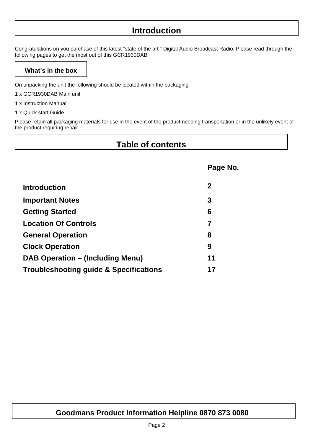# **Introduction**

Congratulations on you purchase of this latest "state of the art " Digital Audio Broadcast Radio. Please read through the following pages to get the most out of this GCR1930DAB.

# **What's in the box**

On unpacking the unit the following should be located within the packaging

- 1 x GCR1930DAB Main unit
- 1 x Instruction Manual
- 1 x Quick start Guide

Please retain all packaging materials for use in the event of the product needing transportation or in the unlikely event of the product requiring repair.

# **Table of contents**

|                                         | Page No.       |
|-----------------------------------------|----------------|
| <b>Introduction</b>                     | $\mathbf{2}$   |
| <b>Important Notes</b>                  | 3              |
| <b>Getting Started</b>                  | 6              |
| <b>Location Of Controls</b>             | $\overline{7}$ |
| <b>General Operation</b>                | 8              |
| <b>Clock Operation</b>                  | 9              |
| <b>DAB Operation – (Including Menu)</b> | 11             |
| Troubleshooting guide & Specifications  | 17             |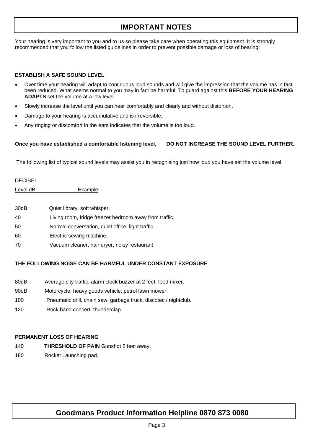# **IMPORTANT NOTES**

Your hearing is very important to you and to us so please take care when operating this equipment. It is strongly recommended that you follow the listed guidelines in order to prevent possible damage or loss of hearing:

#### **ESTABLISH A SAFE SOUND LEVEL**

- Over time your hearing will adapt to continuous loud sounds and will give the impression that the volume has in fact been reduced. What seems normal to you may in fact be harmful. To guard against this **BEFORE YOUR HEARING ADAPTS** set the volume at a low level.
- Slowly increase the level until you can hear comfortably and clearly and without distortion.
- Damage to your hearing is accumulative and is irreversible.
- Any ringing or discomfort in the ears indicates that the volume is too loud.

#### Once you have established a comfortable listening level, DO NOT INCREASE THE SOUND LEVEL FURTHER.

The following list of typical sound levels may assist you in recognising just how loud you have set the volume level.

#### DECIBEL

Level dB Example

| 30dB | Quiet library, soft whisper.                           |
|------|--------------------------------------------------------|
| 40   | Living room, fridge freezer bedroom away from traffic. |
| 50   | Normal conversation, quiet office, light traffic.      |
| 60   | Electric sewing machine,                               |
| 70   | Vacuum cleaner, hair dryer, noisy restaurant           |

#### **THE FOLLOWING NOISE CAN BE HARMFUL UNDER CONSTANT EXPOSURE**

- 80dB Average city traffic, alarm clock buzzer at 2 feet, food mixer.
- 90dB Motorcycle, heavy goods vehicle, petrol lawn mower.
- 100 Pneumatic drill, chain saw, garbage truck, discotec / nightclub.
- 120 Rock band concert, thunderclap.

#### **PERMANENT LOSS OF HEARING**

- 140 **THRESHOLD OF PAIN** Gunshot 2 feet away.
- 180 Rocket Launching pad.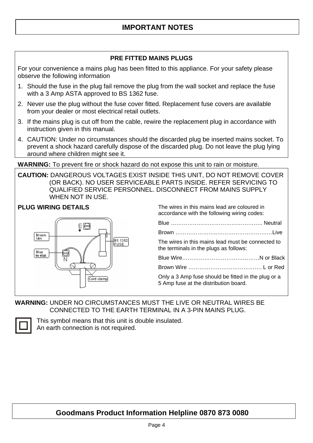# **PRE FITTED MAINS PLUGS**

For your convenience a mains plug has been fitted to this appliance. For your safety please observe the following information

- 1. Should the fuse in the plug fail remove the plug from the wall socket and replace the fuse with a 3 Amp ASTA approved to BS 1362 fuse.
- 2. Never use the plug without the fuse cover fitted. Replacement fuse covers are available from your dealer or most electrical retail outlets.
- 3. If the mains plug is cut off from the cable, rewire the replacement plug in accordance with instruction given in this manual.
- 4. CAUTION: Under no circumstances should the discarded plug be inserted mains socket. To prevent a shock hazard carefully dispose of the discarded plug. Do not leave the plug lying around where children might see it.

**WARNING:** To prevent fire or shock hazard do not expose this unit to rain or moisture.

**CAUTION:** DANGEROUS VOLTAGES EXIST INSIDE THIS UNIT, DO NOT REMOVE COVER (OR BACK). NO USER SERVICEABLE PARTS INSIDE. REFER SERVICING TO QUALIFIED SERVICE PERSONNEL. DISCONNECT FROM MAINS SUPPLY WHEN NOT IN USE.



**PLUG WIRING DETAILS** The wires in this mains lead are coloured in accordance with the following wiring codes:

| The wires in this mains lead must be connected to<br>the terminals in the plugs as follows:  |  |  |  |  |  |  |
|----------------------------------------------------------------------------------------------|--|--|--|--|--|--|
|                                                                                              |  |  |  |  |  |  |
|                                                                                              |  |  |  |  |  |  |
| Only a 3 Amp fuse should be fitted in the plug or a<br>5 Amp fuse at the distribution board. |  |  |  |  |  |  |

### **WARNING:** UNDER NO CIRCUMSTANCES MUST THE LIVE OR NEUTRAL WIRES BE CONNECTED TO THE EARTH TERMINAL IN A 3-PIN MAINS PLUG.



This symbol means that this unit is double insulated. An earth connection is not required.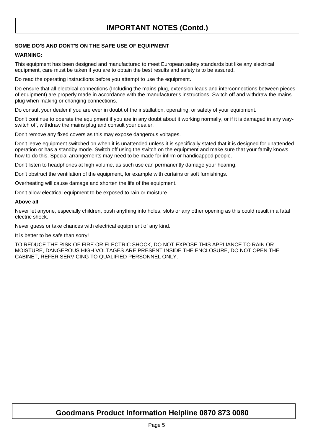# **IMPORTANT NOTES (Contd.)**

#### **SOME DO'S AND DONT'S ON THE SAFE USE OF EQUIPMENT**

#### **WARNING:**

This equipment has been designed and manufactured to meet European safety standards but like any electrical equipment, care must be taken if you are to obtain the best results and safety is to be assured.

Do read the operating instructions before you attempt to use the equipment.

Do ensure that all electrical connections (Including the mains plug, extension leads and interconnections between pieces of equipment) are properly made in accordance with the manufacturer's instructions. Switch off and withdraw the mains plug when making or changing connections.

Do consult your dealer if you are ever in doubt of the installation, operating, or safety of your equipment.

Don't continue to operate the equipment if you are in any doubt about it working normally, or if it is damaged in any wayswitch off, withdraw the mains plug and consult your dealer.

Don't remove any fixed covers as this may expose dangerous voltages.

Don't leave equipment switched on when it is unattended unless it is specifically stated that it is designed for unattended operation or has a standby mode. Switch off using the switch on the equipment and make sure that your family knows how to do this. Special arrangements may need to be made for infirm or handicapped people.

Don't listen to headphones at high volume, as such use can permanently damage your hearing.

Don't obstruct the ventilation of the equipment, for example with curtains or soft furnishings.

Overheating will cause damage and shorten the life of the equipment.

Don't allow electrical equipment to be exposed to rain or moisture.

#### **Above all**

Never let anyone, especially children, push anything into holes, slots or any other opening as this could result in a fatal electric shock.

Never guess or take chances with electrical equipment of any kind.

It is better to be safe than sorry!

TO REDUCE THE RISK OF FIRE OR ELECTRIC SHOCK, DO NOT EXPOSE THIS APPLIANCE TO RAIN OR MOISTURE, DANGEROUS HIGH VOLTAGES ARE PRESENT INSIDE THE ENCLOSURE, DO NOT OPEN THE CABINET, REFER SERVICING TO QUALIFIED PERSONNEL ONLY.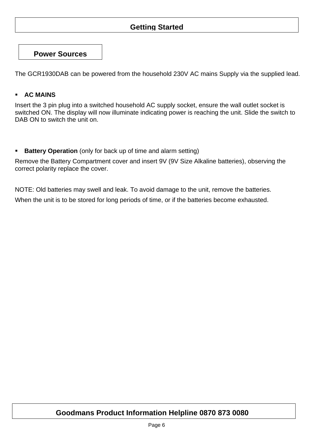# **Getting Started**

**Power Sources** 

The GCR1930DAB can be powered from the household 230V AC mains Supply via the supplied lead.

#### **AC MAINS**

Insert the 3 pin plug into a switched household AC supply socket, ensure the wall outlet socket is switched ON. The display will now illuminate indicating power is reaching the unit. Slide the switch to DAB ON to switch the unit on.

**Battery Operation** (only for back up of time and alarm setting)

Remove the Battery Compartment cover and insert 9V (9V Size Alkaline batteries), observing the correct polarity replace the cover.

NOTE: Old batteries may swell and leak. To avoid damage to the unit, remove the batteries. When the unit is to be stored for long periods of time, or if the batteries become exhausted.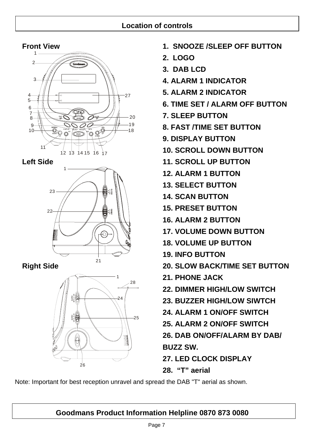# **Location of controls**







- **Front View 1. SNOOZE /SLEEP OFF BUTTON** 
	- **2. LOGO**
	- **3. DAB LCD**
	- **4. ALARM 1 INDICATOR**
	- **5. ALARM 2 INDICATOR**
	- **6. TIME SET / ALARM OFF BUTTON**
	- **7. SLEEP BUTTON**
	- $\overline{a}$   $\overline{a}$   $\overline{b}$   $\overline{b}$   $\overline{d}$   $\overline{b}$   $\overline{d}$   $\overline{b}$  **8. FAST /TIME SET BUTTON** 
		- **9. DISPLAY BUTTON**
		- **10. SCROLL DOWN BUTTON**
- **Left Side 11. SCROLL UP BUTTON** 
	- **12. ALARM 1 BUTTON**
	- **13. SELECT BUTTON**
	- **14. SCAN BUTTON**
	- **15. PRESET BUTTON**
	- **16. ALARM 2 BUTTON**
	- $\text{Cov}(A) \times \text{Cov}(A)$  17. VOLUME DOWN BUTTON
		- **18. VOLUME UP BUTTON**
		- **19. INFO BUTTON**
- **Right Side 20. SLOW BACK/TIME SET BUTTON** 
	- **21. PHONE JACK**
	- **22. DIMMER HIGH/LOW SWITCH**
	- **23. BUZZER HIGH/LOW SIWTCH**
	- **24. ALARM 1 ON/OFF SWITCH**
	- **25. ALARM 2 ON/OFF SWITCH**
	- **26. DAB ON/OFF/ALARM BY DAB/ BUZZ SW.**
	- **27. LED CLOCK DISPLAY**
	- **28. "T" aerial**

Note: Important for best reception unravel and spread the DAB "T" aerial as shown.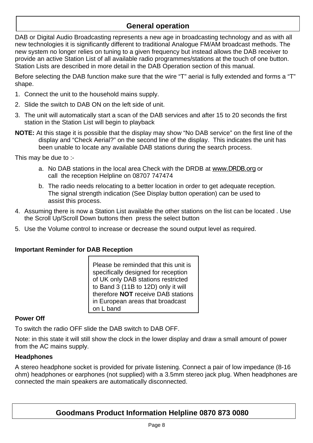# **General operation**

DAB or Digital Audio Broadcasting represents a new age in broadcasting technology and as with all new technologies it is significantly different to traditional Analogue FM/AM broadcast methods. The new system no longer relies on tuning to a given frequency but instead allows the DAB receiver to provide an active Station List of all available radio programmes/stations at the touch of one button. Station Lists are described in more detail in the DAB Operation section of this manual.

Before selecting the DAB function make sure that the wire "T" aerial is fully extended and forms a "T" shape.

- 1. Connect the unit to the household mains supply.
- 2. Slide the switch to DAB ON on the left side of unit.
- 3. The unit will automatically start a scan of the DAB services and after 15 to 20 seconds the first station in the Station List will begin to playback
- **NOTE:** At this stage it is possible that the display may show "No DAB service" on the first line of the display and "Check Aerial?" on the second line of the display. This indicates the unit has been unable to locate any available DAB stations during the search process.

This may be due to :-

- a. No DAB stations in the local area Check with the DRDB at www.DRDB.org or call the reception Helpline on 08707 747474
- b. The radio needs relocating to a better location in order to get adequate reception. The signal strength indication (See Display button operation) can be used to assist this process.
- 4. Assuming there is now a Station List available the other stations on the list can be located . Use the Scroll Up/Scroll Down buttons then press the select button
- 5. Use the Volume control to increase or decrease the sound output level as required.

### **Important Reminder for DAB Reception**

Please be reminded that this unit is specifically designed for reception of UK only DAB stations restricted to Band 3 (11B to 12D) only it will therefore **NOT** receive DAB stations in European areas that broadcast on L band

#### **Power Off**

To switch the radio OFF slide the DAB switch to DAB OFF.

Note: in this state it will still show the clock in the lower display and draw a small amount of power from the AC mains supply.

#### **Headphones**

A stereo headphone socket is provided for private listening. Connect a pair of low impedance (8-16 ohm) headphones or earphones (not supplied) with a 3.5mm stereo jack plug. When headphones are connected the main speakers are automatically disconnected.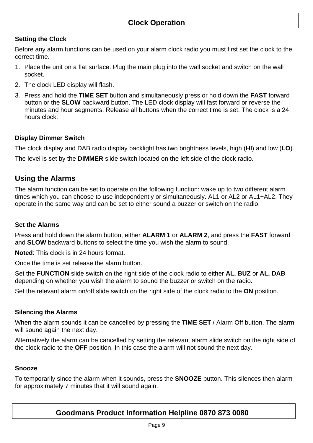# **Clock Operation**

# **Setting the Clock**

Before any alarm functions can be used on your alarm clock radio you must first set the clock to the correct time.

- 1. Place the unit on a flat surface. Plug the main plug into the wall socket and switch on the wall socket.
- 2. The clock LED display will flash.
- 3. Press and hold the **TIME SET** button and simultaneously press or hold down the **FAST** forward button or the **SLOW** backward button. The LED clock display will fast forward or reverse the minutes and hour segments. Release all buttons when the correct time is set. The clock is a 24 hours clock.

## **Display Dimmer Switch**

The clock display and DAB radio display backlight has two brightness levels, high (**HI**) and low (**LO**).

The level is set by the **DIMMER** slide switch located on the left side of the clock radio.

# **Using the Alarms**

The alarm function can be set to operate on the following function: wake up to two different alarm times which you can choose to use independently or simultaneously. AL1 or AL2 or AL1+AL2. They operate in the same way and can be set to either sound a buzzer or switch on the radio.

#### **Set the Alarms**

Press and hold down the alarm button, either **ALARM 1** or **ALARM 2**, and press the **FAST** forward and **SLOW** backward buttons to select the time you wish the alarm to sound.

**Noted**: This clock is in 24 hours format.

Once the time is set release the alarm button.

Set the **FUNCTION** slide switch on the right side of the clock radio to either **AL. BUZ** or **AL. DAB**  depending on whether you wish the alarm to sound the buzzer or switch on the radio.

Set the relevant alarm on/off slide switch on the right side of the clock radio to the **ON** position.

#### **Silencing the Alarms**

When the alarm sounds it can be cancelled by pressing the **TIME SET** / Alarm Off button. The alarm will sound again the next day.

Alternatively the alarm can be cancelled by setting the relevant alarm slide switch on the right side of the clock radio to the **OFF** position. In this case the alarm will not sound the next day.

#### **Snooze**

To temporarily since the alarm when it sounds, press the **SNOOZE** button. This silences then alarm for approximately 7 minutes that it will sound again.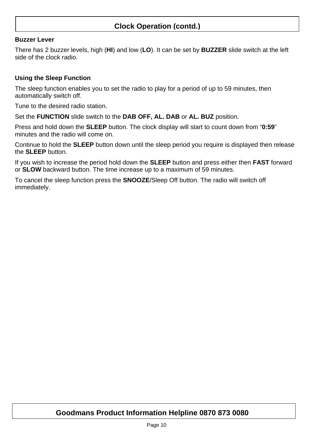# **Clock Operation (contd.)**

#### **Buzzer Lever**

There has 2 buzzer levels, high (**HI**) and low (**LO**). It can be set by **BUZZER** slide switch at the left side of the clock radio.

#### **Using the Sleep Function**

The sleep function enables you to set the radio to play for a period of up to 59 minutes, then automatically switch off.

Tune to the desired radio station.

Set the **FUNCTION** slide switch to the **DAB OFF, AL. DAB** or **AL. BUZ** position.

Press and hold down the **SLEEP** button. The clock display will start to count down from "**0:59**" minutes and the radio will come on.

Continue to hold the **SLEEP** button down until the sleep period you require is displayed then release the **SLEEP** button.

If you wish to increase the period hold down the **SLEEP** button and press either then **FAST** forward or **SLOW** backward button. The time increase up to a maximum of 59 minutes.

To cancel the sleep function press the **SNOOZE**/Sleep Off button. The radio will switch off immediately.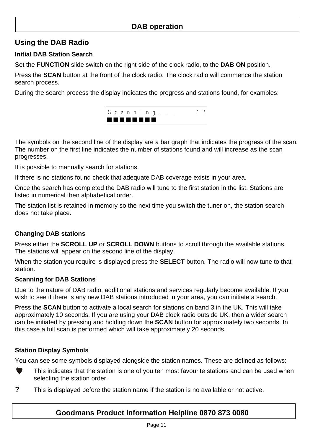# **DAB operation**

# **Using the DAB Radio**

### **Initial DAB Station Search**

Set the **FUNCTION** slide switch on the right side of the clock radio, to the **DAB ON** position.

Press the **SCAN** button at the front of the clock radio. The clock radio will commence the station search process.

During the search process the display indicates the progress and stations found, for examples:



The symbols on the second line of the display are a bar graph that indicates the progress of the scan. The number on the first line indicates the number of stations found and will increase as the scan progresses.

It is possible to manually search for stations.

If there is no stations found check that adequate DAB coverage exists in your area.

Once the search has completed the DAB radio will tune to the first station in the list. Stations are listed in numerical then alphabetical order.

The station list is retained in memory so the next time you switch the tuner on, the station search does not take place.

### **Changing DAB stations**

Press either the **SCROLL UP** or **SCROLL DOWN** buttons to scroll through the available stations. The stations will appear on the second line of the display.

When the station you require is displayed press the **SELECT** button. The radio will now tune to that station.

#### **Scanning for DAB Stations**

Due to the nature of DAB radio, additional stations and services regularly become available. If you wish to see if there is any new DAB stations introduced in your area, you can initiate a search.

Press the **SCAN** button to activate a local search for stations on band 3 in the UK. This will take approximately 10 seconds. If you are using your DAB clock radio outside UK, then a wider search can be initiated by pressing and holding down the **SCAN** button for approximately two seconds. In this case a full scan is performed which will take approximately 20 seconds.

### **Station Display Symbols**

You can see some symbols displayed alongside the station names. These are defined as follows:



This indicates that the station is one of you ten most favourite stations and can be used when selecting the station order.

**?** This is displayed before the station name if the station is no available or not active.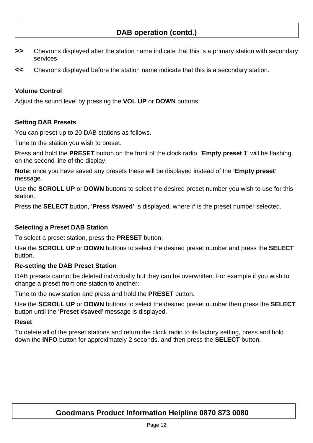- **>>** Chevrons displayed after the station name indicate that this is a primary station with secondary services.
- **<<** Chevrons displayed before the station name indicate that this is a secondary station.

#### **Volume Control**

Adjust the sound level by pressing the **VOL UP** or **DOWN** buttons.

#### **Setting DAB Presets**

You can preset up to 20 DAB stations as follows.

Tune to the station you wish to preset.

Press and hold the **PRESET** button on the front of the clock radio. '**Empty preset 1**' will be flashing on the second line of the display.

**Note:** once you have saved any presets these will be displayed instead of the **'Empty preset'**  message.

Use the **SCROLL UP** or **DOWN** buttons to select the desired preset number you wish to use for this station.

Press the **SELECT** button, '**Press #saved'** is displayed, where # is the preset number selected.

#### **Selecting a Preset DAB Station**

To select a preset station, press the **PRESET** button.

Use the **SCROLL UP** or **DOWN** buttons to select the desired preset number and press the **SELECT** button.

#### **Re-setting the DAB Preset Station**

DAB presets cannot be deleted individually but they can be overwritten. For example if you wish to change a preset from one station to another:

Tune to the new station and press and hold the **PRESET** button.

Use the **SCROLL UP** or **DOWN** buttons to select the desired preset number then press the **SELECT** button until the '**Preset #saved**' message is displayed.

#### **Reset**

To delete all of the preset stations and return the clock radio to its factory setting, press and hold down the **INFO** button for approximately 2 seconds, and then press the **SELECT** button.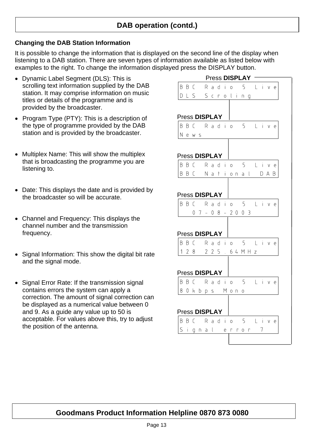#### **Changing the DAB Station Information**

It is possible to change the information that is displayed on the second line of the display when listening to a DAB station. There are seven types of information available as listed below with examples to the right. To change the information displayed press the DISPLAY button.

- Dynamic Label Segment (DLS): This is scrolling text information supplied by the DAB station. It may comprise information on music titles or details of the programme and is provided by the broadcaster.
- Program Type (PTY): This is a description of the type of programme provided by the DAB station and is provided by the broadcaster.
- Multiplex Name: This will show the multiplex that is broadcasting the programme you are listening to.
- Date: This displays the date and is provided by the broadcaster so will be accurate.
- Channel and Frequency: This displays the channel number and the transmission frequency.
- Signal Information: This show the digital bit rate and the signal mode.
- Signal Error Rate: If the transmission signal contains errors the system can apply a correction. The amount of signal correction can be displayed as a numerical value between 0 and 9. As a guide any value up to 50 is acceptable. For values above this, try to adjust the position of the antenna.

| <b>Press DISPLAY</b>                                                            |   |        |     |
|---------------------------------------------------------------------------------|---|--------|-----|
| Radio 5 Live<br>BBC                                                             |   |        |     |
| DLS<br>Scroling                                                                 |   |        |     |
|                                                                                 |   |        |     |
|                                                                                 |   |        |     |
| Press DISPLAY<br>BBC Radio 5 Live                                               |   |        |     |
| News                                                                            |   |        |     |
|                                                                                 |   |        |     |
|                                                                                 |   |        |     |
| <b>Press DISPLAY</b>                                                            |   |        |     |
| 5 L i v<br>dio<br>BBC<br>Ra                                                     |   |        | е   |
| B B C<br>Nat<br>ÎΞ.<br>al<br>$O \cap$                                           |   | DA     | Β   |
|                                                                                 |   |        |     |
| Press DISPLAY                                                                   |   |        |     |
| BBC Radio 5 Live                                                                |   |        |     |
| $07 - 08 - 2003$                                                                |   |        |     |
|                                                                                 |   |        |     |
| Press DISPLAY                                                                   |   |        |     |
| Radio 5 Live<br>BBC                                                             |   |        |     |
| 2 2 5 . 6 4 M H z<br>128                                                        |   |        |     |
|                                                                                 |   |        |     |
|                                                                                 |   |        |     |
| Press DISPLAY                                                                   |   |        |     |
| BBC Radio 5                                                                     |   | $L$ iv | e   |
| 8.<br>0kbps Mon<br>0                                                            |   |        |     |
|                                                                                 |   |        |     |
|                                                                                 |   |        |     |
| Press DISPLAY                                                                   |   |        |     |
| BBC Radio 5 Li                                                                  |   |        | v e |
| $\mathsf S$<br>- i<br>$\downarrow$<br>е<br>Γ<br>n.<br>Б<br>$\Gamma$ 0<br>г<br>q | 7 |        |     |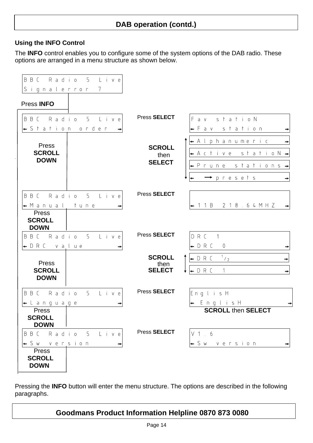#### **Using the INFO Control**

The **INFO** control enables you to configure some of the system options of the DAB radio. These options are arranged in a menu structure as shown below.



Pressing the **INFO** button will enter the menu structure. The options are described in the following paragraphs.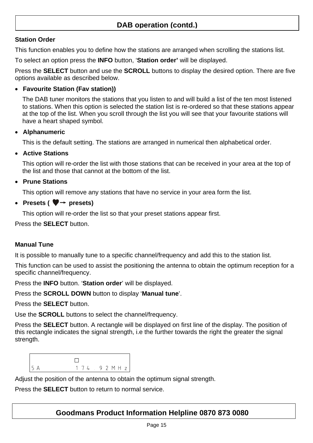### **Station Order**

 $\mathsf{L}$ 

This function enables you to define how the stations are arranged when scrolling the stations list.

To select an option press the **INFO** button, '**Station order'** will be displayed.

Press the **SELECT** button and use the **SCROLL** buttons to display the desired option. There are five options available as described below.

#### • **Favourite Station (Fav station))**

The DAB tuner monitors the stations that you listen to and will build a list of the ten most listened to stations. When this option is selected the station list is re-ordered so that these stations appear at the top of the list. When you scroll through the list you will see that your favourite stations will have a heart shaped symbol.

#### • **Alphanumeric**

This is the default setting. The stations are arranged in numerical then alphabetical order.

#### • **Active Stations**

This option will re-order the list with those stations that can be received in your area at the top of the list and those that cannot at the bottom of the list.

### • **Prune Stations**

This option will remove any stations that have no service in your area form the list.

### • **Presets (** $\blacktriangledown$   $\rightarrow$  **presets)**

This option will re-order the list so that your preset stations appear first.

Press the **SELECT** button.

### **Manual Tune**

It is possible to manually tune to a specific channel/frequency and add this to the station list.

This function can be used to assist the positioning the antenna to obtain the optimum reception for a specific channel/frequency.

Press the **INFO** button. '**Station order**' will be displayed.

Press the **SCROLL DOWN** button to display '**Manual tune**'.

Press the **SELECT** button.

Use the **SCROLL** buttons to select the channel/frequency.

Press the **SELECT** button. A rectangle will be displayed on first line of the display. The position of this rectangle indicates the signal strength, i.e the further towards the right the greater the signal strength.

| 5 A | 174.92 MHz |  |  |  |  |
|-----|------------|--|--|--|--|

Adjust the position of the antenna to obtain the optimum signal strength.

Press the **SELECT** button to return to normal service.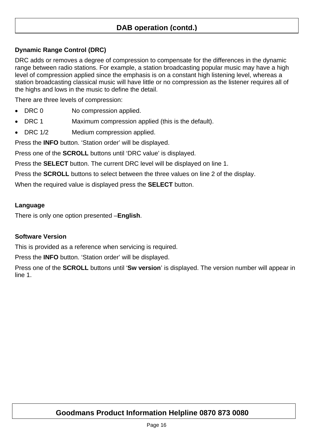### **Dynamic Range Control (DRC)**

DRC adds or removes a degree of compression to compensate for the differences in the dynamic range between radio stations. For example, a station broadcasting popular music may have a high level of compression applied since the emphasis is on a constant high listening level, whereas a station broadcasting classical music will have little or no compression as the listener requires all of the highs and lows in the music to define the detail.

There are three levels of compression:

- DRC 0 No compression applied.
- DRC 1 Maximum compression applied (this is the default).
- DRC 1/2 Medium compression applied.

Press the **INFO** button. 'Station order' will be displayed.

Press one of the **SCROLL** buttons until 'DRC value' is displayed.

Press the **SELECT** button. The current DRC level will be displayed on line 1.

Press the **SCROLL** buttons to select between the three values on line 2 of the display.

When the required value is displayed press the **SELECT** button.

#### **Language**

There is only one option presented –**English**.

#### **Software Version**

This is provided as a reference when servicing is required.

Press the **INFO** button. 'Station order' will be displayed.

Press one of the **SCROLL** buttons until '**Sw version**' is displayed. The version number will appear in line 1.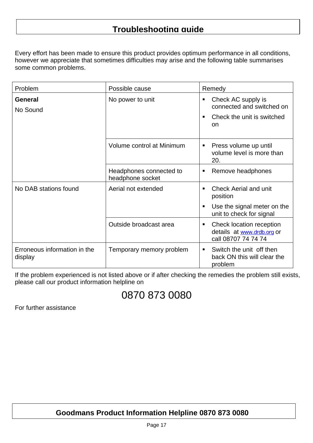# **Troubleshooting guide**

Every effort has been made to ensure this product provides optimum performance in all conditions, however we appreciate that sometimes difficulties may arise and the following table summarises some common problems.

| Problem                                 | Possible cause                              | Remedy                                                                             |
|-----------------------------------------|---------------------------------------------|------------------------------------------------------------------------------------|
| <b>General</b><br>No Sound              | No power to unit                            | Check AC supply is<br>connected and switched on                                    |
|                                         |                                             | Check the unit is switched<br>on                                                   |
|                                         | Volume control at Minimum                   | Press volume up until<br>volume level is more than<br>20.                          |
|                                         | Headphones connected to<br>headphone socket | Remove headphones<br>п                                                             |
| No DAB stations found                   | Aerial not extended                         | <b>Check Aerial and unit</b><br>position                                           |
|                                         |                                             | Use the signal meter on the<br>unit to check for signal                            |
|                                         | Outside broadcast area                      | Check location reception<br>ш<br>details at www.drdb.org or<br>call 08707 74 74 74 |
| Erroneous information in the<br>display | Temporary memory problem                    | Switch the unit off then<br>back ON this will clear the<br>problem                 |

If the problem experienced is not listed above or if after checking the remedies the problem still exists, please call our product information helpline on

# 0870 873 0080

For further assistance